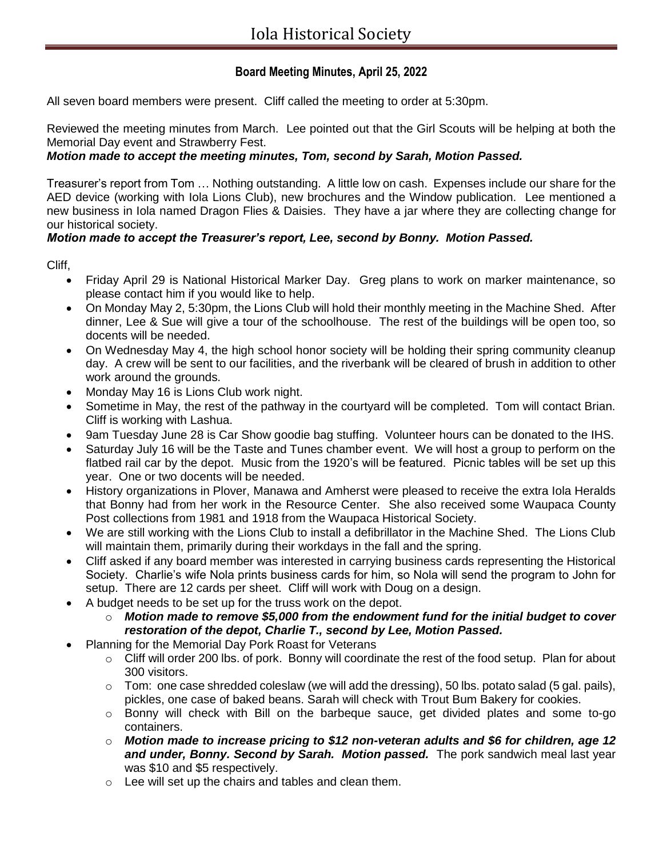# **Board Meeting Minutes, April 25, 2022**

All seven board members were present. Cliff called the meeting to order at 5:30pm.

Reviewed the meeting minutes from March. Lee pointed out that the Girl Scouts will be helping at both the Memorial Day event and Strawberry Fest.

## *Motion made to accept the meeting minutes, Tom, second by Sarah, Motion Passed.*

Treasurer's report from Tom … Nothing outstanding. A little low on cash. Expenses include our share for the AED device (working with Iola Lions Club), new brochures and the Window publication. Lee mentioned a new business in Iola named Dragon Flies & Daisies. They have a jar where they are collecting change for our historical society.

### *Motion made to accept the Treasurer's report, Lee, second by Bonny. Motion Passed.*

Cliff,

- Friday April 29 is National Historical Marker Day. Greg plans to work on marker maintenance, so please contact him if you would like to help.
- On Monday May 2, 5:30pm, the Lions Club will hold their monthly meeting in the Machine Shed. After dinner, Lee & Sue will give a tour of the schoolhouse. The rest of the buildings will be open too, so docents will be needed.
- On Wednesday May 4, the high school honor society will be holding their spring community cleanup day. A crew will be sent to our facilities, and the riverbank will be cleared of brush in addition to other work around the grounds.
- Monday May 16 is Lions Club work night.
- Sometime in May, the rest of the pathway in the courtyard will be completed. Tom will contact Brian. Cliff is working with Lashua.
- 9am Tuesday June 28 is Car Show goodie bag stuffing. Volunteer hours can be donated to the IHS.
- Saturday July 16 will be the Taste and Tunes chamber event. We will host a group to perform on the flatbed rail car by the depot. Music from the 1920's will be featured. Picnic tables will be set up this year. One or two docents will be needed.
- History organizations in Plover, Manawa and Amherst were pleased to receive the extra Iola Heralds that Bonny had from her work in the Resource Center. She also received some Waupaca County Post collections from 1981 and 1918 from the Waupaca Historical Society.
- We are still working with the Lions Club to install a defibrillator in the Machine Shed. The Lions Club will maintain them, primarily during their workdays in the fall and the spring.
- Cliff asked if any board member was interested in carrying business cards representing the Historical Society. Charlie's wife Nola prints business cards for him, so Nola will send the program to John for setup. There are 12 cards per sheet. Cliff will work with Doug on a design.
- A budget needs to be set up for the truss work on the depot.
	- o *Motion made to remove \$5,000 from the endowment fund for the initial budget to cover restoration of the depot, Charlie T., second by Lee, Motion Passed.*
- Planning for the Memorial Day Pork Roast for Veterans
	- o Cliff will order 200 lbs. of pork. Bonny will coordinate the rest of the food setup. Plan for about 300 visitors.
	- $\circ$  Tom: one case shredded coleslaw (we will add the dressing), 50 lbs. potato salad (5 gal. pails), pickles, one case of baked beans. Sarah will check with Trout Bum Bakery for cookies.
	- $\circ$  Bonny will check with Bill on the barbeque sauce, get divided plates and some to-go containers.
	- o *Motion made to increase pricing to \$12 non-veteran adults and \$6 for children, age 12 and under, Bonny. Second by Sarah. Motion passed.* The pork sandwich meal last year was \$10 and \$5 respectively.
	- o Lee will set up the chairs and tables and clean them.